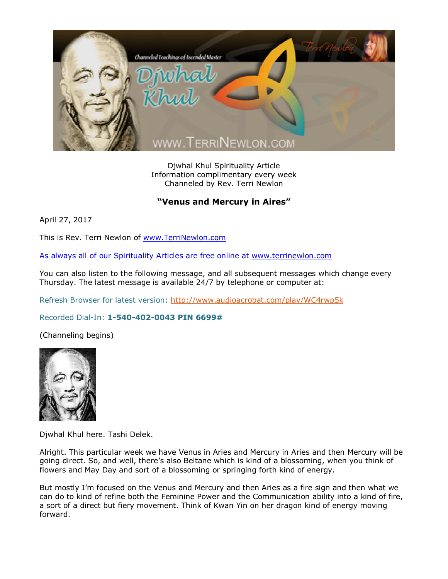

Djwhal Khul Spirituality Article Information complimentary every week Channeled by Rev. Terri Newlon

## **"Venus and Mercury in Aires"**

April 27, 2017

This is Rev. Terri Newlon of [www.TerriNewlon.com](http://www.terrinewlon.com/)

As always all of our Spirituality Articles are free online at [www.terrinewlon.com](http://www.terrinewlon.com/)

You can also listen to the following message, and all subsequent messages which change every Thursday. The latest message is available 24/7 by telephone or computer at:

Refresh Browser for latest version: <http://www.audioacrobat.com/play/WC4rwp5k>

## Recorded Dial-In: **1-540-402-0043 PIN 6699#**

(Channeling begins)



Djwhal Khul here. Tashi Delek.

Alright. This particular week we have Venus in Aries and Mercury in Aries and then Mercury will be going direct. So, and well, there's also Beltane which is kind of a blossoming, when you think of flowers and May Day and sort of a blossoming or springing forth kind of energy.

But mostly I'm focused on the Venus and Mercury and then Aries as a fire sign and then what we can do to kind of refine both the Feminine Power and the Communication ability into a kind of fire, a sort of a direct but fiery movement. Think of Kwan Yin on her dragon kind of energy moving forward.